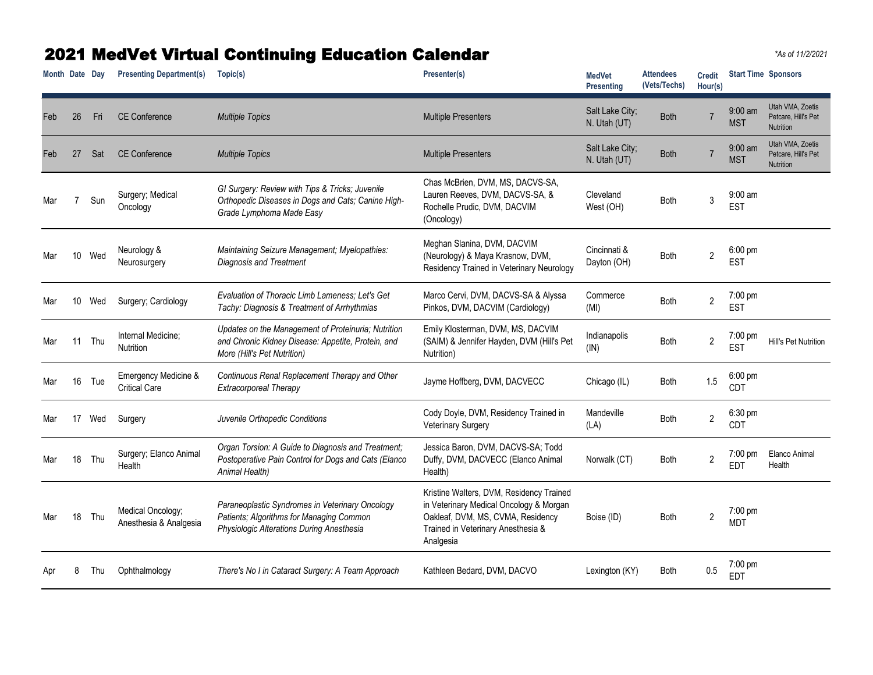## 2021 MedVet Virtual Continuing Education Calendar *\*As of 11/2/2021*

**Month** Date Day Presenting Department(s) Topic(s) **Presenter(s) Presenter(s) Presenter(s) MedVet Presenting Attendees (Vets/Techs) Credit Hour(s) Start Time Sponsors** Feb 26 Fri CE Conference *Multiple Topics* **Multiple Topics** Multiple Presenters Salt Lake City; Salt Lake City;<br>N. Utah (UT) Both 7 9:00 am **MST** Utah VMA, Zoetis Petcare, Hill's Pet **Nutrition** Feb 27 Sat CE Conference *Multiple Topics* **Multiple Topics** Multiple Presenters Salt Lake City; Salt Lake City;<br>N. Utah (UT) Both 9:00 am **MST** Utah VMA, Zoetis Petcare, Hill's Pet **Nutrition** Mar 7 Sun Surgery; Medical **Oncology** *GI Surgery: Review with Tips & Tricks; Juvenile Orthopedic Diseases in Dogs and Cats; Canine High-Grade Lymphoma Made Easy* Chas McBrien, DVM, MS, DACVS-SA, Lauren Reeves, DVM, DACVS-SA, & Rochelle Prudic, DVM, DACVIM (Oncology) Cleveland West (OH) Both <sup>3</sup> 9:00 am EST Mar 10 Wed Neurology & Neurosurgery *Maintaining Seizure Management; Myelopathies: Diagnosis and Treatment* Meghan Slanina, DVM, DACVIM (Neurology) & Maya Krasnow, DVM, Residency Trained in Veterinary Neurology Cincinnati & Dayton (OH) Both 2 6:00 pm EST Mar <sup>10</sup> Wed Surgery; Cardiology *Evaluation of Thoracic Limb Lameness; Let's Get Tachy: Diagnosis & Treatment of Arrhythmias* Marco Cervi, DVM, DACVS-SA & Alyssa Pinkos, DVM, DACVIM (Cardiology) **Commerce** oommerce Both 2<br>(MI) 7:00 pm EST Mar 11 Thu Internal Medicine; Nutrition *Updates on the Management of Proteinuria; Nutrition and Chronic Kidney Disease: Appetite, Protein, and More (Hill's Pet Nutrition)* Emily Klosterman, DVM, MS, DACVIM (SAIM) & Jennifer Hayden, DVM (Hill's Pet Nutrition) Indianapolis (IN) Both <sup>2</sup> 7:00 pm To Put Hill's Pet Nutrition Mar 16 Tue Emergency Medicine & Critical Care *Continuous Renal Replacement Therapy and Other Extracorporeal Therapy* Jayme Hoffberg, DVM, DACVECC Chicago (IL) Both 1.5 6:00 pm CDT Mar <sup>17</sup> Wed Surgery *Juvenile Orthopedic Conditions* Cody Doyle, DVM, Residency Trained in **Veterinary Surgery** Mandeville wanacville Both 2<br>(LA) 6:30 pm CDT Mar 18 Thu Surgery; Elanco Animal **Health** *Organ Torsion: A Guide to Diagnosis and Treatment; Postoperative Pain Control for Dogs and Cats (Elanco Animal Health)* Jessica Baron, DVM, DACVS-SA; Todd Duffy, DVM, DACVECC (Elanco Animal Health) Norwalk (CT) Both 2 7:00 pm EDT Elanco Animal Health Mar 18 Thu Medical Oncology; Anesthesia & Analgesia *Paraneoplastic Syndromes in Veterinary Oncology Patients; Algorithms for Managing Common Physiologic Alterations During Anesthesia* Kristine Walters, DVM, Residency Trained in Veterinary Medical Oncology & Morgan Oakleaf, DVM, MS, CVMA, Residency Trained in Veterinary Anesthesia & Analgesia Boise (ID) Both 2 7:00 pm MDT Apr <sup>8</sup> Thu Ophthalmology *There's No I in Cataract Surgery: A Team Approach* Kathleen Bedard, DVM, DACVO Lexington (KY) Both 0.5 7:00 pm EDT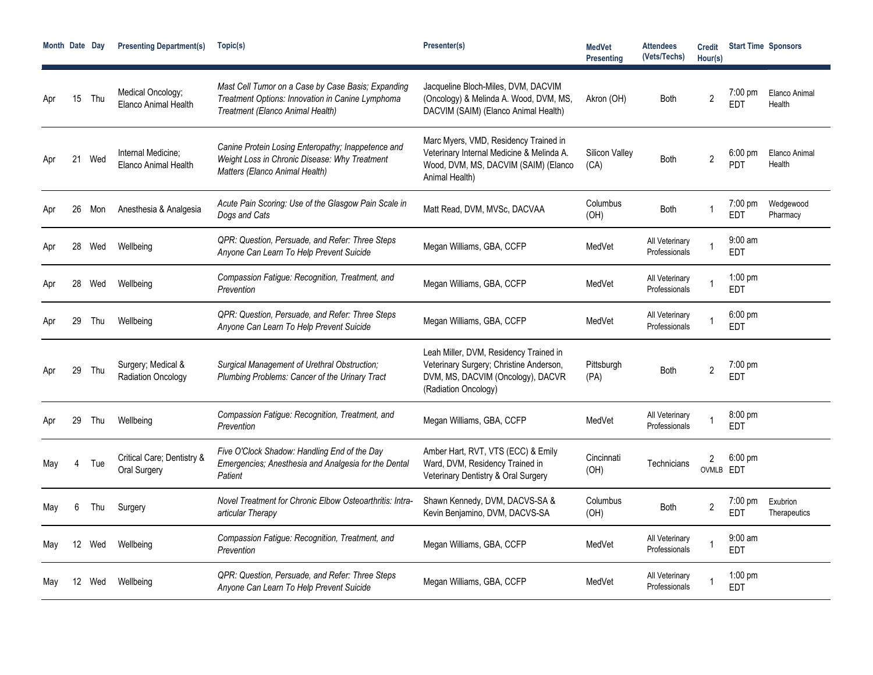| Month Date Day |                 |        | <b>Presenting Department(s)</b>            | Topic(s)                                                                                                                                   | Presenter(s)                                                                                                                                   | <b>MedVet</b><br><b>Presenting</b> | <b>Attendees</b><br>(Vets/Techs) | <b>Credit</b><br>Hour(s)    | <b>Start Time Sponsors</b>      |                          |
|----------------|-----------------|--------|--------------------------------------------|--------------------------------------------------------------------------------------------------------------------------------------------|------------------------------------------------------------------------------------------------------------------------------------------------|------------------------------------|----------------------------------|-----------------------------|---------------------------------|--------------------------|
|                | 15              | Thu    | Medical Oncology;<br>Elanco Animal Health  | Mast Cell Tumor on a Case by Case Basis; Expanding<br>Treatment Options: Innovation in Canine Lymphoma<br>Treatment (Elanco Animal Health) | Jacqueline Bloch-Miles, DVM, DACVIM<br>(Oncology) & Melinda A. Wood, DVM, MS,<br>DACVIM (SAIM) (Elanco Animal Health)                          | Akron (OH)                         | Both                             | $\overline{2}$              | $7:00$ pm<br>EDT                | Elanco Animal<br>Health  |
|                |                 | 21 Wed | Internal Medicine:<br>Elanco Animal Health | Canine Protein Losing Enteropathy; Inappetence and<br>Weight Loss in Chronic Disease: Why Treatment<br>Matters (Elanco Animal Health)      | Marc Myers, VMD, Residency Trained in<br>Veterinary Internal Medicine & Melinda A.<br>Wood, DVM, MS, DACVIM (SAIM) (Elanco<br>Animal Health)   | Silicon Valley<br>(CA)             | Both                             | $\overline{2}$              | $6:00 \text{ pm}$<br><b>PDT</b> | Elanco Animal<br>Health  |
| Apr            | 26              | Mon    | Anesthesia & Analgesia                     | Acute Pain Scoring: Use of the Glasgow Pain Scale in<br>Dogs and Cats                                                                      | Matt Read, DVM, MVSc, DACVAA                                                                                                                   | Columbus<br>(OH)                   | Both                             |                             | $7:00$ pm<br><b>EDT</b>         | Wedgewood<br>Pharmacy    |
| Apr            | 28              | Wed    | Wellbeing                                  | QPR: Question, Persuade, and Refer: Three Steps<br>Anyone Can Learn To Help Prevent Suicide                                                | Megan Williams, GBA, CCFP                                                                                                                      | MedVet                             | All Veterinary<br>Professionals  |                             | $9:00$ am<br><b>EDT</b>         |                          |
| Apr            | 28              | Wed    | Wellbeing                                  | Compassion Fatigue: Recognition, Treatment, and<br>Prevention                                                                              | Megan Williams, GBA, CCFP                                                                                                                      | MedVet                             | All Veterinary<br>Professionals  |                             | $1:00$ pm<br><b>EDT</b>         |                          |
| Apr            | 29              | Thu    | Wellbeing                                  | QPR: Question, Persuade, and Refer: Three Steps<br>Anyone Can Learn To Help Prevent Suicide                                                | Megan Williams, GBA, CCFP                                                                                                                      | MedVet                             | All Veterinary<br>Professionals  |                             | $6:00 \text{ pm}$<br><b>EDT</b> |                          |
|                | 29              | Thu    | Surgery; Medical &<br>Radiation Oncology   | Surgical Management of Urethral Obstruction;<br>Plumbing Problems: Cancer of the Urinary Tract                                             | Leah Miller, DVM, Residency Trained in<br>Veterinary Surgery; Christine Anderson,<br>DVM, MS, DACVIM (Oncology), DACVR<br>(Radiation Oncology) | Pittsburgh<br>(PA)                 | Both                             | $\overline{2}$              | $7:00 \text{ pm}$<br>EDT        |                          |
| Apr            | 29              | Thu    | Wellbeing                                  | Compassion Fatigue: Recognition, Treatment, and<br>Prevention                                                                              | Megan Williams, GBA, CCFP                                                                                                                      | MedVet                             | All Veterinary<br>Professionals  |                             | 8:00 pm<br><b>EDT</b>           |                          |
| May            |                 | Tue    | Critical Care; Dentistry &<br>Oral Surgery | Five O'Clock Shadow: Handling End of the Day<br>Emergencies; Anesthesia and Analgesia for the Dental<br>Patient                            | Amber Hart, RVT, VTS (ECC) & Emily<br>Ward, DVM, Residency Trained in<br>Veterinary Dentistry & Oral Surgery                                   | Cincinnati<br>(OH)                 | Technicians                      | $\overline{2}$<br>OVMLB EDT | $6:00$ pm                       |                          |
| May            | 6               | Thu    | Surgery                                    | Novel Treatment for Chronic Elbow Osteoarthritis: Intra-<br>articular Therapy                                                              | Shawn Kennedy, DVM, DACVS-SA &<br>Kevin Benjamino, DVM, DACVS-SA                                                                               | Columbus<br>(OH)                   | <b>Both</b>                      | $\overline{2}$              | $7:00$ pm<br>EDT                | Exubrion<br>Therapeutics |
| May            | 12 <sup>2</sup> | Wed    | Wellbeing                                  | Compassion Fatigue: Recognition, Treatment, and<br>Prevention                                                                              | Megan Williams, GBA, CCFP                                                                                                                      | MedVet                             | All Veterinary<br>Professionals  |                             | $9:00$ am<br><b>EDT</b>         |                          |
| Mav            | 12              | Wed    | Wellbeing                                  | QPR: Question, Persuade, and Refer: Three Steps<br>Anyone Can Learn To Help Prevent Suicide                                                | Megan Williams, GBA, CCFP                                                                                                                      | MedVet                             | All Veterinary<br>Professionals  |                             | $1:00$ pm<br>EDT                |                          |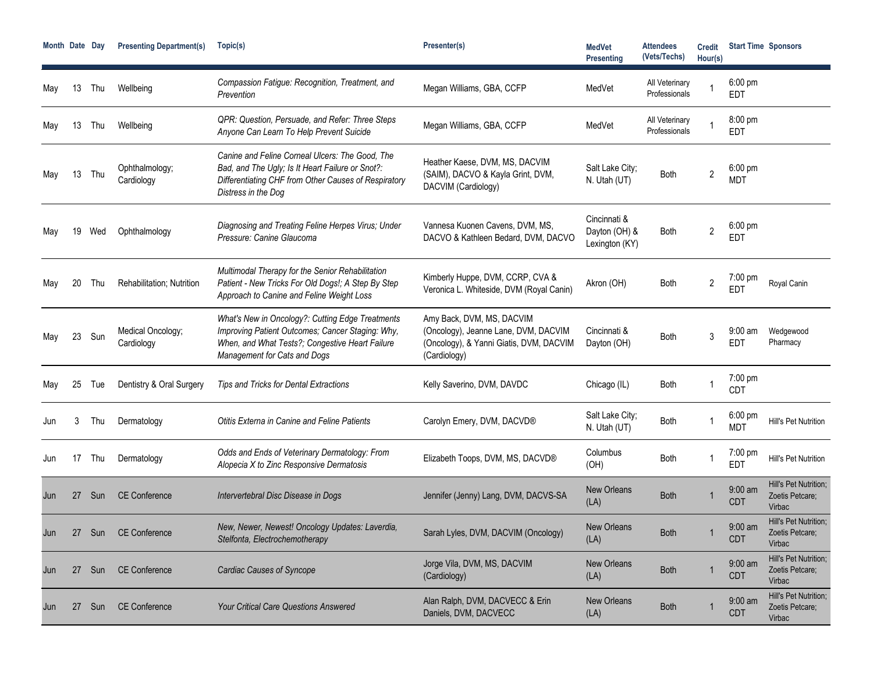| Month Date Day |    |     | <b>Presenting Department(s)</b> | Topic(s)                                                                                                                                                                                | Presenter(s)                                                                                                                 | <b>MedVet</b><br><b>Presenting</b>              | <b>Attendees</b><br>(Vets/Techs) | <b>Credit</b><br>Hour(s) |                                 | <b>Start Time Sponsors</b>                         |
|----------------|----|-----|---------------------------------|-----------------------------------------------------------------------------------------------------------------------------------------------------------------------------------------|------------------------------------------------------------------------------------------------------------------------------|-------------------------------------------------|----------------------------------|--------------------------|---------------------------------|----------------------------------------------------|
| May            | 13 | Thu | Wellbeing                       | Compassion Fatigue: Recognition, Treatment, and<br>Prevention                                                                                                                           | Megan Williams, GBA, CCFP                                                                                                    | MedVet                                          | All Veterinary<br>Professionals  |                          | $6:00$ pm<br><b>EDT</b>         |                                                    |
| May            | 13 | Thu | Wellbeing                       | QPR: Question, Persuade, and Refer: Three Steps<br>Anyone Can Learn To Help Prevent Suicide                                                                                             | Megan Williams, GBA, CCFP                                                                                                    | MedVet                                          | All Veterinary<br>Professionals  |                          | 8:00 pm<br><b>EDT</b>           |                                                    |
| May            | 13 | Thu | Ophthalmology;<br>Cardiology    | Canine and Feline Corneal Ulcers: The Good. The<br>Bad, and The Ugly; Is It Heart Failure or Snot?:<br>Differentiating CHF from Other Causes of Respiratory<br>Distress in the Dog      | Heather Kaese, DVM, MS, DACVIM<br>(SAIM), DACVO & Kayla Grint, DVM,<br>DACVIM (Cardiology)                                   | Salt Lake City;<br>N. Utah (UT)                 | Both                             | 2                        | $6:00 \text{ pm}$<br><b>MDT</b> |                                                    |
| Mav            | 19 | Wed | Ophthalmology                   | Diagnosing and Treating Feline Herpes Virus; Under<br>Pressure: Canine Glaucoma                                                                                                         | Vannesa Kuonen Cavens, DVM, MS,<br>DACVO & Kathleen Bedard, DVM, DACVO                                                       | Cincinnati &<br>Dayton (OH) &<br>Lexington (KY) | Both                             | $\overline{2}$           | 6:00 pm<br><b>EDT</b>           |                                                    |
| May            | 20 | Thu | Rehabilitation; Nutrition       | Multimodal Therapy for the Senior Rehabilitation<br>Patient - New Tricks For Old Dogs!; A Step By Step<br>Approach to Canine and Feline Weight Loss                                     | Kimberly Huppe, DVM, CCRP, CVA &<br>Veronica L. Whiteside, DVM (Royal Canin)                                                 | Akron (OH)                                      | <b>Both</b>                      | $\overline{c}$           | 7:00 pm<br><b>EDT</b>           | Royal Canin                                        |
| May            | 23 | Sun | Medical Oncology;<br>Cardiology | What's New in Oncology?: Cutting Edge Treatments<br>Improving Patient Outcomes; Cancer Staging: Why,<br>When, and What Tests?; Congestive Heart Failure<br>Management for Cats and Dogs | Amy Back, DVM, MS, DACVIM<br>(Oncology), Jeanne Lane, DVM, DACVIM<br>(Oncology), & Yanni Giatis, DVM, DACVIM<br>(Cardiology) | Cincinnati &<br>Dayton (OH)                     | Both                             | 3                        | $9:00$ am<br>EDT                | Wedgewood<br>Pharmacy                              |
| May            | 25 | Tue | Dentistry & Oral Surgery        | Tips and Tricks for Dental Extractions                                                                                                                                                  | Kelly Saverino, DVM, DAVDC                                                                                                   | Chicago (IL)                                    | Both                             |                          | 7:00 pm<br><b>CDT</b>           |                                                    |
| Jun            | 3  | Thu | Dermatology                     | Otitis Externa in Canine and Feline Patients                                                                                                                                            | Carolyn Emery, DVM, DACVD®                                                                                                   | Salt Lake City;<br>N. Utah (UT)                 | <b>Both</b>                      |                          | $6:00 \text{ pm}$<br>MDT        | Hill's Pet Nutrition                               |
| Jun            | 17 | Thu | Dermatology                     | Odds and Ends of Veterinary Dermatology: From<br>Alopecia X to Zinc Responsive Dermatosis                                                                                               | Elizabeth Toops, DVM, MS, DACVD®                                                                                             | Columbus<br>(OH)                                | Both                             |                          | $7:00 \text{ pm}$<br><b>EDT</b> | Hill's Pet Nutrition                               |
| Jun            | 27 | Sun | <b>CE Conference</b>            | Intervertebral Disc Disease in Dogs                                                                                                                                                     | Jennifer (Jenny) Lang, DVM, DACVS-SA                                                                                         | <b>New Orleans</b><br>(LA)                      | <b>Both</b>                      |                          | $9:00$ am<br><b>CDT</b>         | Hill's Pet Nutrition;<br>Zoetis Petcare;<br>Virbac |
| Jun            | 27 |     | Sun CE Conference               | New, Newer, Newest! Oncology Updates: Laverdia,<br>Stelfonta, Electrochemotherapy                                                                                                       | Sarah Lyles, DVM, DACVIM (Oncology)                                                                                          | <b>New Orleans</b><br>(LA)                      | Both                             |                          | $9:00$ am<br><b>CDT</b>         | Hill's Pet Nutrition;<br>Zoetis Petcare;<br>Virbac |
| Jun            | 27 | Sun | <b>CE Conference</b>            | <b>Cardiac Causes of Syncope</b>                                                                                                                                                        | Jorge Vila, DVM, MS, DACVIM<br>(Cardiology)                                                                                  | <b>New Orleans</b><br>(LA)                      | <b>Both</b>                      |                          | $9:00$ am<br><b>CDT</b>         | Hill's Pet Nutrition;<br>Zoetis Petcare;<br>Virbac |
| Jun            | 27 | Sun | <b>CE Conference</b>            | <b>Your Critical Care Questions Answered</b>                                                                                                                                            | Alan Ralph, DVM, DACVECC & Erin<br>Daniels, DVM, DACVECC                                                                     | <b>New Orleans</b><br>(LA)                      | <b>Both</b>                      |                          | $9:00$ am<br><b>CDT</b>         | Hill's Pet Nutrition;<br>Zoetis Petcare;<br>Virbac |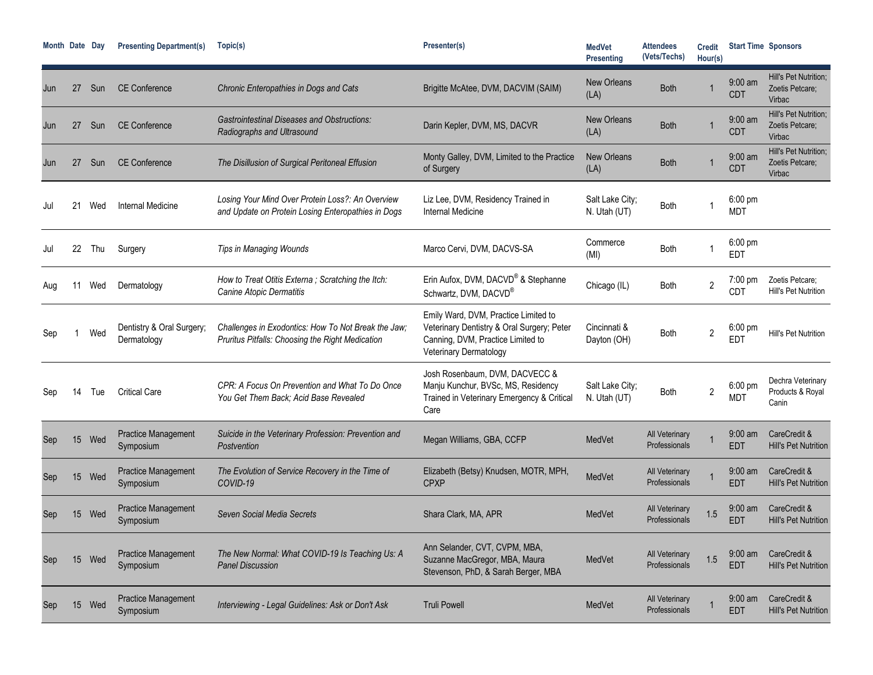| Month Date Dav |     |      | <b>Presenting Department(s)</b>          | Topic(s)                                                                                                | Presenter(s)                                                                                                                                      | <b>MedVet</b><br><b>Presenting</b> | <b>Attendees</b><br>(Vets/Techs) | <b>Credit</b><br>Hour(s) |                                 | <b>Start Time Sponsors</b>                         |
|----------------|-----|------|------------------------------------------|---------------------------------------------------------------------------------------------------------|---------------------------------------------------------------------------------------------------------------------------------------------------|------------------------------------|----------------------------------|--------------------------|---------------------------------|----------------------------------------------------|
| Jun            | 27  | Sun  | <b>CE Conference</b>                     | Chronic Enteropathies in Dogs and Cats                                                                  | Brigitte McAtee, DVM, DACVIM (SAIM)                                                                                                               | New Orleans<br>(LA)                | <b>Both</b>                      |                          | $9:00$ am<br><b>CDT</b>         | Hill's Pet Nutrition:<br>Zoetis Petcare;<br>Virbac |
| Jun            | 27  | Sun  | <b>CE Conference</b>                     | <b>Gastrointestinal Diseases and Obstructions:</b><br>Radiographs and Ultrasound                        | Darin Kepler, DVM, MS, DACVR                                                                                                                      | <b>New Orleans</b><br>(LA)         | <b>Both</b>                      |                          | $9:00$ am<br><b>CDT</b>         | Hill's Pet Nutrition:<br>Zoetis Petcare;<br>Virbac |
| Jun            | 27  | Sun  | <b>CE Conference</b>                     | The Disillusion of Surgical Peritoneal Effusion                                                         | Monty Galley, DVM, Limited to the Practice<br>of Surgery                                                                                          | <b>New Orleans</b><br>(LA)         | <b>Both</b>                      |                          | $9:00$ am<br><b>CDT</b>         | Hill's Pet Nutrition;<br>Zoetis Petcare;<br>Virbac |
| Jul            | 21  | Wed  | Internal Medicine                        | Losing Your Mind Over Protein Loss?: An Overview<br>and Update on Protein Losing Enteropathies in Dogs  | Liz Lee, DVM, Residency Trained in<br>Internal Medicine                                                                                           | Salt Lake City;<br>N. Utah (UT)    | <b>Both</b>                      |                          | $6:00$ pm<br><b>MDT</b>         |                                                    |
| Jul            | 22  | Thu  | Surgery                                  | Tips in Managing Wounds                                                                                 | Marco Cervi, DVM, DACVS-SA                                                                                                                        | Commerce<br>(MI)                   | <b>Both</b>                      |                          | $6:00$ pm<br><b>EDT</b>         |                                                    |
| Aug            |     | Wed  | Dermatology                              | How to Treat Otitis Externa; Scratching the Itch:<br>Canine Atopic Dermatitis                           | Erin Aufox, DVM, DACVD® & Stephanne<br>Schwartz, DVM, DACVD®                                                                                      | Chicago (IL)                       | <b>Both</b>                      | $\overline{c}$           | $7:00 \text{ pm}$<br><b>CDT</b> | Zoetis Petcare;<br>Hill's Pet Nutrition            |
| Seb            |     | Wed  | Dentistry & Oral Surgery;<br>Dermatology | Challenges in Exodontics: How To Not Break the Jaw;<br>Pruritus Pitfalls: Choosing the Right Medication | Emily Ward, DVM, Practice Limited to<br>Veterinary Dentistry & Oral Surgery; Peter<br>Canning, DVM, Practice Limited to<br>Veterinary Dermatology | Cincinnati &<br>Dayton (OH)        | <b>Both</b>                      | $\overline{c}$           | $6:00 \text{ pm}$<br>ED1        | Hill's Pet Nutrition                               |
| Sep            |     | I ue | <b>Critical Care</b>                     | CPR: A Focus On Prevention and What To Do Once<br>You Get Them Back: Acid Base Revealed                 | Josh Rosenbaum, DVM, DACVECC &<br>Manju Kunchur, BVSc, MS, Residency<br>Trained in Veterinary Emergency & Critical<br>Care                        | Salt Lake City;<br>N. Utah (UT)    | Both                             | 2                        | $6:00$ pm<br>MDT                | Dechra Veterinary<br>Products & Royal<br>Canin     |
| Sep            | 15  | Wed  | <b>Practice Management</b><br>Symposium  | Suicide in the Veterinary Profession: Prevention and<br>Postvention                                     | Megan Williams, GBA, CCFP                                                                                                                         | MedVet                             | All Veterinary<br>Professionals  |                          | $9:00 \text{ am}$<br><b>EDT</b> | CareCredit &<br><b>Hill's Pet Nutrition</b>        |
| Sep            | 15. | Wed  | <b>Practice Management</b><br>Symposium  | The Evolution of Service Recovery in the Time of<br>COVID-19                                            | Elizabeth (Betsy) Knudsen, MOTR, MPH,<br><b>CPXP</b>                                                                                              | MedVet                             | All Veterinary<br>Professionals  |                          | $9:00$ am<br><b>EDT</b>         | CareCredit &<br><b>Hill's Pet Nutrition</b>        |
| Sep            | 15  | Wed  | <b>Practice Management</b><br>Symposium  | Seven Social Media Secrets                                                                              | Shara Clark, MA, APR                                                                                                                              | MedVet                             | All Veterinary<br>Professionals  | 1.5                      | $9:00 \text{ am}$<br>EDT        | CareCredit &<br><b>Hill's Pet Nutrition</b>        |
| Sep            | 15  | Wed  | <b>Practice Management</b><br>Symposium  | The New Normal: What COVID-19 Is Teaching Us: A<br><b>Panel Discussion</b>                              | Ann Selander, CVT, CVPM, MBA,<br>Suzanne MacGregor, MBA, Maura<br>Stevenson, PhD, & Sarah Berger, MBA                                             | MedVet                             | All Veterinary<br>Professionals  | 1.5                      | $9:00$ am<br><b>EDT</b>         | CareCredit &<br><b>Hill's Pet Nutrition</b>        |
| Sep            | 15  | Wed  | <b>Practice Management</b><br>Symposium  | Interviewing - Legal Guidelines: Ask or Don't Ask                                                       | <b>Truli Powell</b>                                                                                                                               | MedVet                             | All Veterinary<br>Professionals  |                          | $9:00$ am<br><b>EDT</b>         | CareCredit &<br>Hill's Pet Nutrition               |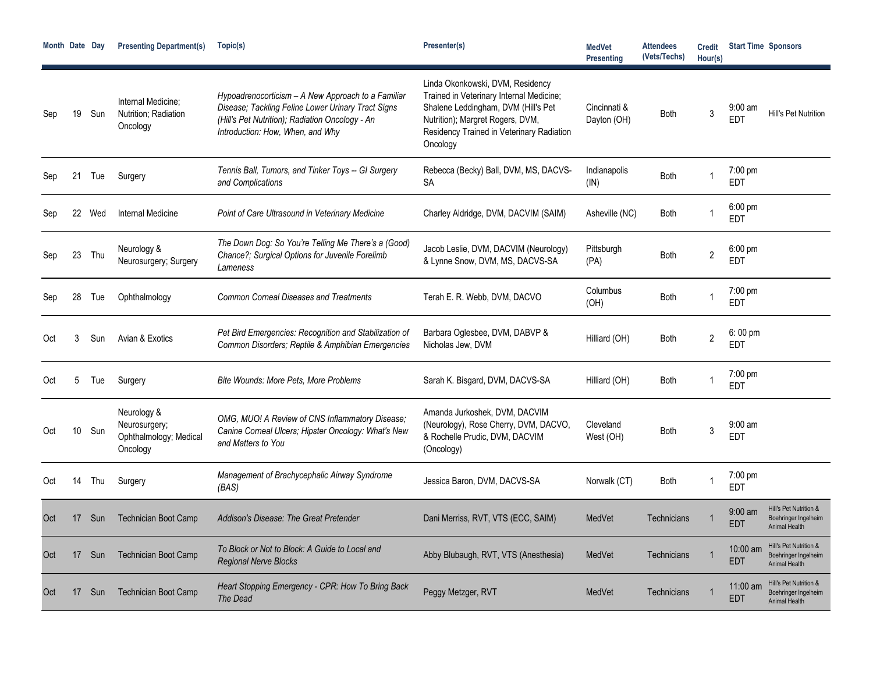| Month Date Day |                 |        | <b>Presenting Department(s)</b>                                    | Topic(s)                                                                                                                                                                                        | Presenter(s)                                                                                                                                                                                                     | <b>MedVet</b><br><b>Presenting</b> | <b>Attendees</b><br>(Vets/Techs) | <b>Credit</b><br>Hour(s) |                                 | <b>Start Time Sponsors</b>                                             |
|----------------|-----------------|--------|--------------------------------------------------------------------|-------------------------------------------------------------------------------------------------------------------------------------------------------------------------------------------------|------------------------------------------------------------------------------------------------------------------------------------------------------------------------------------------------------------------|------------------------------------|----------------------------------|--------------------------|---------------------------------|------------------------------------------------------------------------|
| Sep            | 19              | Sun    | Internal Medicine;<br>Nutrition; Radiation<br>Oncology             | Hypoadrenocorticism - A New Approach to a Familiar<br>Disease; Tackling Feline Lower Urinary Tract Signs<br>(Hill's Pet Nutrition); Radiation Oncology - An<br>Introduction: How, When, and Why | Linda Okonkowski, DVM, Residency<br>Trained in Veterinary Internal Medicine;<br>Shalene Leddingham, DVM (Hill's Pet<br>Nutrition); Margret Rogers, DVM,<br>Residency Trained in Veterinary Radiation<br>Oncology | Cincinnati &<br>Dayton (OH)        | <b>Both</b>                      | 3                        | $9:00$ am<br><b>FDT</b>         | Hill's Pet Nutrition                                                   |
| Sep            | 21              | Tue    | Surgery                                                            | Tennis Ball, Tumors, and Tinker Toys -- GI Surgery<br>and Complications                                                                                                                         | Rebecca (Becky) Ball, DVM, MS, DACVS-<br><b>SA</b>                                                                                                                                                               | Indianapolis<br>(IN)               | <b>Both</b>                      |                          | 7:00 pm<br><b>EDT</b>           |                                                                        |
| Sep            |                 | 22 Wed | Internal Medicine                                                  | Point of Care Ultrasound in Veterinary Medicine                                                                                                                                                 | Charley Aldridge, DVM, DACVIM (SAIM)                                                                                                                                                                             | Asheville (NC)                     | <b>Both</b>                      |                          | $6:00$ pm<br><b>FDT</b>         |                                                                        |
| Sep            | 23              | Thu    | Neurology &<br>Neurosurgery; Surgery                               | The Down Dog: So You're Telling Me There's a (Good)<br>Chance?; Surgical Options for Juvenile Forelimb<br>Lameness                                                                              | Jacob Leslie, DVM, DACVIM (Neurology)<br>& Lynne Snow, DVM, MS, DACVS-SA                                                                                                                                         | Pittsburgh<br>(PA)                 | <b>Both</b>                      | $\overline{2}$           | $6:00 \text{ pm}$<br><b>FDT</b> |                                                                        |
| Sep            | 28              | Tue    | Ophthalmology                                                      | <b>Common Corneal Diseases and Treatments</b>                                                                                                                                                   | Terah E. R. Webb, DVM, DACVO                                                                                                                                                                                     | Columbus<br>(OH)                   | <b>Both</b>                      |                          | $7:00 \text{ pm}$<br><b>FDT</b> |                                                                        |
| Oct            |                 | Sun    | Avian & Exotics                                                    | Pet Bird Emergencies: Recognition and Stabilization of<br>Common Disorders; Reptile & Amphibian Emergencies                                                                                     | Barbara Oglesbee, DVM, DABVP &<br>Nicholas Jew, DVM                                                                                                                                                              | Hilliard (OH)                      | <b>Both</b>                      | $\overline{2}$           | $6:00 \text{ pm}$<br><b>EDT</b> |                                                                        |
| Oct            | 5               | Tue    | Surgery                                                            | <b>Bite Wounds: More Pets, More Problems</b>                                                                                                                                                    | Sarah K. Bisgard, DVM, DACVS-SA                                                                                                                                                                                  | Hilliard (OH)                      | <b>Both</b>                      |                          | $7:00 \text{ pm}$<br><b>EDT</b> |                                                                        |
| Oct            | 10 <sup>°</sup> | Sun    | Neurology &<br>Neurosurgery;<br>Ophthalmology; Medical<br>Oncology | OMG, MUO! A Review of CNS Inflammatory Disease:<br>Canine Corneal Ulcers; Hipster Oncology: What's New<br>and Matters to You                                                                    | Amanda Jurkoshek, DVM, DACVIM<br>(Neurology), Rose Cherry, DVM, DACVO,<br>& Rochelle Prudic, DVM, DACVIM<br>(Oncology)                                                                                           | Cleveland<br>West (OH)             | <b>Both</b>                      | 3                        | $9:00 \text{ am}$<br><b>EDT</b> |                                                                        |
| Oct            | 14              | Thu    | Surgery                                                            | Management of Brachycephalic Airway Syndrome<br>(BAS)                                                                                                                                           | Jessica Baron, DVM, DACVS-SA                                                                                                                                                                                     | Norwalk (CT)                       | <b>Both</b>                      |                          | 7:00 pm<br><b>EDT</b>           |                                                                        |
| Oct            | 17              | Sun    | <b>Technician Boot Camp</b>                                        | Addison's Disease: The Great Pretender                                                                                                                                                          | Dani Merriss, RVT, VTS (ECC, SAIM)                                                                                                                                                                               | MedVet                             | Technicians                      |                          | $9:00 \text{ am}$<br><b>EDT</b> | Hill's Pet Nutrition &<br>Boehringer Ingelheim<br>Animal Health        |
| Oct            | 17              | Sun    | <b>Technician Boot Camp</b>                                        | To Block or Not to Block: A Guide to Local and<br><b>Regional Nerve Blocks</b>                                                                                                                  | Abby Blubaugh, RVT, VTS (Anesthesia)                                                                                                                                                                             | MedVet                             | Technicians                      |                          | 10:00 am<br><b>EDT</b>          | Hill's Pet Nutrition &<br>Boehringer Ingelheim<br><b>Animal Health</b> |
| Oct            | 17              | Sun    | <b>Technician Boot Camp</b>                                        | Heart Stopping Emergency - CPR: How To Bring Back<br>The Dead                                                                                                                                   | Peggy Metzger, RVT                                                                                                                                                                                               | MedVet                             | Technicians                      |                          | 11:00 am<br><b>EDT</b>          | Hill's Pet Nutrition &<br>Boehringer Ingelheim<br><b>Animal Health</b> |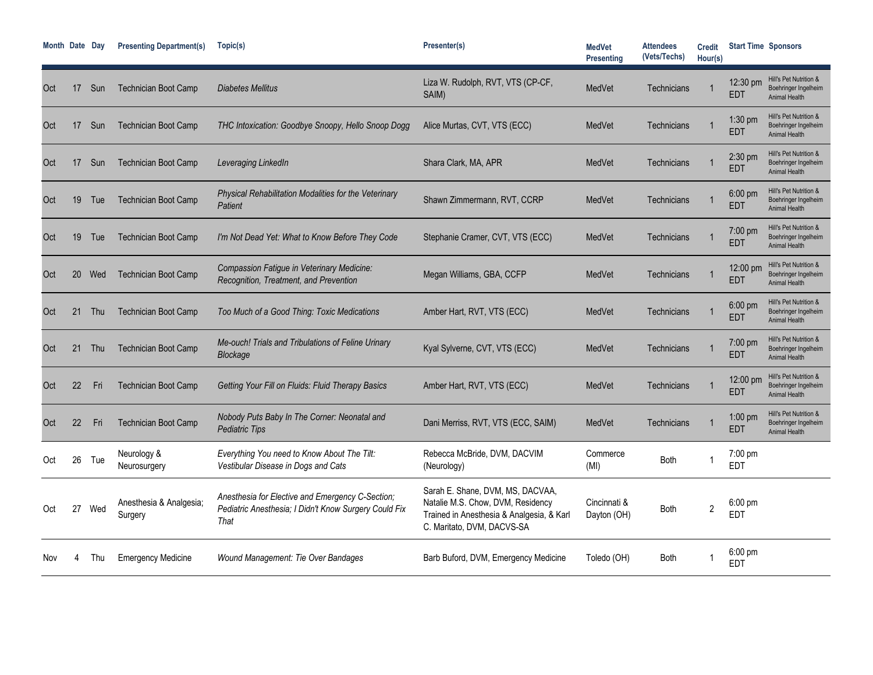| Month Date Day |    |     | <b>Presenting Department(s)</b>    | Topic(s)                                                                                                          | Presenter(s)                                                                                                                                     | <b>MedVet</b><br><b>Presenting</b> | <b>Attendees</b><br>(Vets/Techs) | <b>Credit</b><br>Hour(s) |                           | <b>Start Time Sponsors</b>                                             |
|----------------|----|-----|------------------------------------|-------------------------------------------------------------------------------------------------------------------|--------------------------------------------------------------------------------------------------------------------------------------------------|------------------------------------|----------------------------------|--------------------------|---------------------------|------------------------------------------------------------------------|
| Oct            | 17 | Sun | <b>Technician Boot Camp</b>        | <b>Diabetes Mellitus</b>                                                                                          | Liza W. Rudolph, RVT, VTS (CP-CF,<br>SAIM)                                                                                                       | MedVet                             | Technicians                      |                          | $12:30 \text{ pm}$<br>EDT | Hill's Pet Nutrition &<br>Boehringer Ingelheim<br>Animal Health        |
| Oct            | 17 | Sun | <b>Technician Boot Camp</b>        | THC Intoxication: Goodbye Snoopy, Hello Snoop Dogg                                                                | Alice Murtas, CVT, VTS (ECC)                                                                                                                     | MedVet                             | Technicians                      |                          | 1:30 pm<br>EDT            | Hill's Pet Nutrition &<br>Boehringer Ingelheim<br>Animal Health        |
| Oct            | 17 | Sun | <b>Technician Boot Camp</b>        | Leveraging LinkedIn                                                                                               | Shara Clark, MA, APR                                                                                                                             | MedVet                             | Technicians                      |                          | 2:30 pm<br><b>EDT</b>     | Hill's Pet Nutrition &<br>Boehringer Ingelheim<br>Animal Health        |
| Oct            | 19 | Tue | <b>Technician Boot Camp</b>        | Physical Rehabilitation Modalities for the Veterinary<br>Patient                                                  | Shawn Zimmermann, RVT, CCRP                                                                                                                      | MedVet                             | Technicians                      |                          | $6:00$ pm<br><b>EDT</b>   | Hill's Pet Nutrition &<br>Boehringer Ingelheim<br>Animal Health        |
| Oct            | 19 | Tue | <b>Technician Boot Camp</b>        | I'm Not Dead Yet: What to Know Before They Code                                                                   | Stephanie Cramer, CVT, VTS (ECC)                                                                                                                 | MedVet                             | Technicians                      |                          | 7:00 pm<br><b>EDT</b>     | Hill's Pet Nutrition &<br>Boehringer Ingelheim<br><b>Animal Health</b> |
| Oct            | 20 | Wed | <b>Technician Boot Camp</b>        | Compassion Fatigue in Veterinary Medicine:<br>Recognition, Treatment, and Prevention                              | Megan Williams, GBA, CCFP                                                                                                                        | MedVet                             | Technicians                      |                          | 12:00 pm<br>EDT           | Hill's Pet Nutrition &<br>Boehringer Ingelheim<br>Animal Health        |
| Oct            | 21 | Thu | <b>Technician Boot Camp</b>        | Too Much of a Good Thing: Toxic Medications                                                                       | Amber Hart, RVT, VTS (ECC)                                                                                                                       | MedVet                             | Technicians                      |                          | 6:00 pm<br><b>EDT</b>     | Hill's Pet Nutrition &<br>Boehringer Ingelheim<br>Animal Health        |
| Oct            | 21 | Thu | <b>Technician Boot Camp</b>        | Me-ouch! Trials and Tribulations of Feline Urinary<br>Blockage                                                    | Kyal Sylverne, CVT, VTS (ECC)                                                                                                                    | MedVet                             | Technicians                      |                          | 7:00 pm<br><b>EDT</b>     | Hill's Pet Nutrition &<br>Boehringer Ingelheim<br>Animal Health        |
| Oct            | 22 | Fri | <b>Technician Boot Camp</b>        | Getting Your Fill on Fluids: Fluid Therapy Basics                                                                 | Amber Hart, RVT, VTS (ECC)                                                                                                                       | MedVet                             | Technicians                      |                          | 12:00 pm<br><b>EDT</b>    | Hill's Pet Nutrition &<br>Boehringer Ingelheim<br>Animal Health        |
| Oct            | 22 | Fri | <b>Technician Boot Camp</b>        | Nobody Puts Baby In The Corner: Neonatal and<br><b>Pediatric Tips</b>                                             | Dani Merriss, RVT, VTS (ECC, SAIM)                                                                                                               | MedVet                             | Technicians                      |                          | $1:00$ pm<br><b>EDT</b>   | Hill's Pet Nutrition &<br>Boehringer Ingelheim<br>Animal Health        |
| Oct            | 26 | Tue | Neurology &<br>Neurosurgery        | Everything You need to Know About The Tilt:<br>Vestibular Disease in Dogs and Cats                                | Rebecca McBride, DVM, DACVIM<br>(Neurology)                                                                                                      | Commerce<br>(MI)                   | <b>Both</b>                      |                          | 7:00 pm<br><b>EDT</b>     |                                                                        |
| Oct            | 27 | Wed | Anesthesia & Analgesia;<br>Surgery | Anesthesia for Elective and Emergency C-Section;<br>Pediatric Anesthesia; I Didn't Know Surgery Could Fix<br>That | Sarah E. Shane, DVM, MS, DACVAA,<br>Natalie M.S. Chow, DVM, Residency<br>Trained in Anesthesia & Analgesia, & Karl<br>C. Maritato, DVM, DACVS-SA | Cincinnati &<br>Dayton (OH)        | Both                             | $\overline{2}$           | $6:00$ pm<br>EDT          |                                                                        |
| Nov            |    | Thu | <b>Emergency Medicine</b>          | Wound Management: Tie Over Bandages                                                                               | Barb Buford, DVM, Emergency Medicine                                                                                                             | Toledo (OH)                        | <b>Both</b>                      |                          | $6:00$ pm<br><b>EDT</b>   |                                                                        |